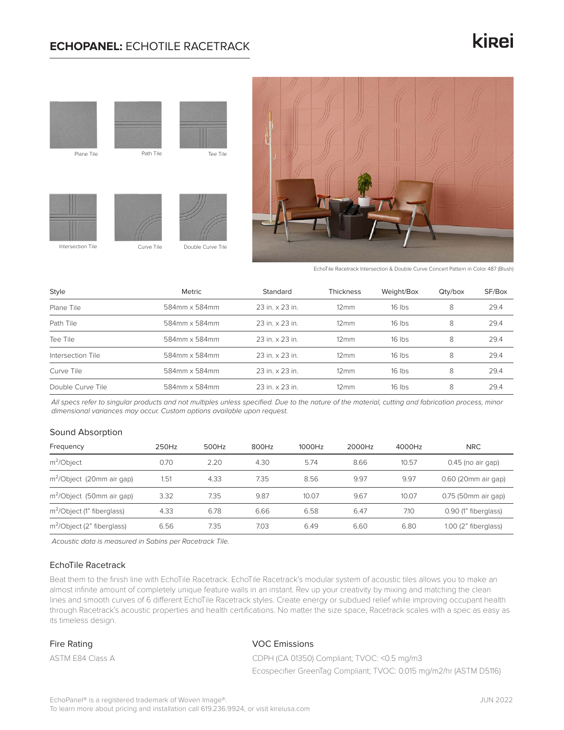### **ECHOPANEL:** ECHOTILE RACETRACK

## kinei





EchoTile Racetrack Intersection & Double Curve Concert Pattern in Color 487 (Blush)

| Style             | Metric        | Standard        | <b>Thickness</b>    | Weight/Box | Qty/box | SF/Box |
|-------------------|---------------|-----------------|---------------------|------------|---------|--------|
| Plane Tile        | 584mm x 584mm | 23 in. x 23 in. | $12 \, \mathrm{mm}$ | $16$ lbs   | 8       | 29.4   |
| Path Tile         | 584mm x 584mm | 23 in. x 23 in. | $12 \, \mathrm{mm}$ | $16$ lbs   | 8       | 29.4   |
| Tee Tile          | 584mm x 584mm | 23 in. x 23 in. | $12 \,\mathrm{mm}$  | $16$ lbs   | 8       | 29.4   |
| Intersection Tile | 584mm x 584mm | 23 in. x 23 in. | $12 \,\mathrm{mm}$  | $16$ lbs   | 8       | 29.4   |
| Curve Tile        | 584mm x 584mm | 23 in. x 23 in. | $12 \,\mathrm{mm}$  | $16$ lbs   | 8       | 29.4   |
| Double Curve Tile | 584mm x 584mm | 23 in. x 23 in. | $12 \,\mathrm{mm}$  | $16$ lbs   | 8       | 29.4   |

*All specs refer to singular products and not multiples unless specified. Due to the nature of the material, cutting and fabrication process, minor dimensional variances may occur. Custom options available upon request.*

#### Sound Absorption

| Frequency                              | 250Hz | 500Hz | 800Hz | 1000Hz | 2000Hz | 4000Hz | <b>NRC</b>           |
|----------------------------------------|-------|-------|-------|--------|--------|--------|----------------------|
| $m^2$ Object                           | 0.70  | 2.20  | 4.30  | 5.74   | 8.66   | 10.57  | $0.45$ (no air gap)  |
| m <sup>2</sup> /Object (20mm air gap)  | 1.51  | 4.33  | 7.35  | 8.56   | 9.97   | 9.97   | 0.60 (20mm air gap)  |
| m <sup>2</sup> /Object (50mm air gap)  | 3.32  | 7.35  | 9.87  | 10.07  | 9.67   | 10.07  | 0.75 (50mm air gap)  |
| m <sup>2</sup> /Object (1" fiberglass) | 4.33  | 6.78  | 6.66  | 6.58   | 6.47   | 7.10   | 0.90 (1" fiberglass) |
| $m^2$ Object (2" fiberglass)           | 6.56  | 7.35  | 7.03  | 6.49   | 6.60   | 6.80   | 1.00 (2" fiberglass) |

*Acoustic data is measured in Sabins per Racetrack Tile.*

#### EchoTile Racetrack

Beat them to the finish line with EchoTile Racetrack. EchoTile Racetrack's modular system of acoustic tiles allows you to make an almost infinite amount of completely unique feature walls in an instant. Rev up your creativity by mixing and matching the clean lines and smooth curves of 6 different EchoTile Racetrack styles. Create energy or subdued relief while improving occupant health through Racetrack's acoustic properties and health certifications. No matter the size space, Racetrack scales with a spec as easy as its timeless design.

#### Fire Rating

ASTM E84 Class A

#### VOC Emissions

CDPH (CA 01350) Compliant; TVOC: <0.5 mg/m3

Ecospecifier GreenTag Compliant; TVOC: 0.015 mg/m2/hr (ASTM D5116)